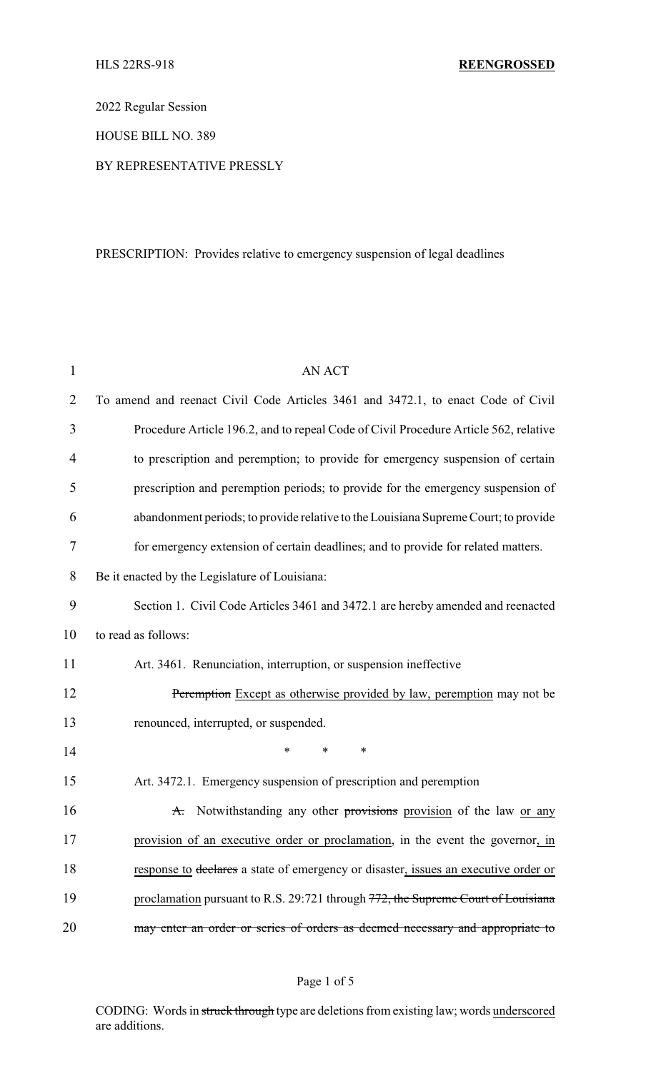2022 Regular Session

HOUSE BILL NO. 389

### BY REPRESENTATIVE PRESSLY

### PRESCRIPTION: Provides relative to emergency suspension of legal deadlines

| $\mathbf{1}$   | <b>AN ACT</b>                                                                        |
|----------------|--------------------------------------------------------------------------------------|
| $\overline{2}$ | To amend and reenact Civil Code Articles 3461 and 3472.1, to enact Code of Civil     |
| 3              | Procedure Article 196.2, and to repeal Code of Civil Procedure Article 562, relative |
| 4              | to prescription and peremption; to provide for emergency suspension of certain       |
| 5              | prescription and peremption periods; to provide for the emergency suspension of      |
| 6              | abandonment periods; to provide relative to the Louisiana Supreme Court; to provide  |
| 7              | for emergency extension of certain deadlines; and to provide for related matters.    |
| 8              | Be it enacted by the Legislature of Louisiana:                                       |
| 9              | Section 1. Civil Code Articles 3461 and 3472.1 are hereby amended and reenacted      |
| 10             | to read as follows:                                                                  |
| 11             | Art. 3461. Renunciation, interruption, or suspension ineffective                     |
| 12             | Peremption Except as otherwise provided by law, peremption may not be                |
| 13             | renounced, interrupted, or suspended.                                                |
| 14             | $\ast$<br>*<br>∗                                                                     |
| 15             | Art. 3472.1. Emergency suspension of prescription and peremption                     |
| 16             | A. Notwithstanding any other provisions provision of the law or any                  |
| 17             | provision of an executive order or proclamation, in the event the governor, in       |
| 18             | response to declares a state of emergency or disaster, issues an executive order or  |
| 19             | proclamation pursuant to R.S. 29:721 through 772, the Supreme Court of Louisiana     |
| 20             | may enter an order or series of orders as deemed necessary and appropriate to        |

# Page 1 of 5

CODING: Words in struck through type are deletions from existing law; words underscored are additions.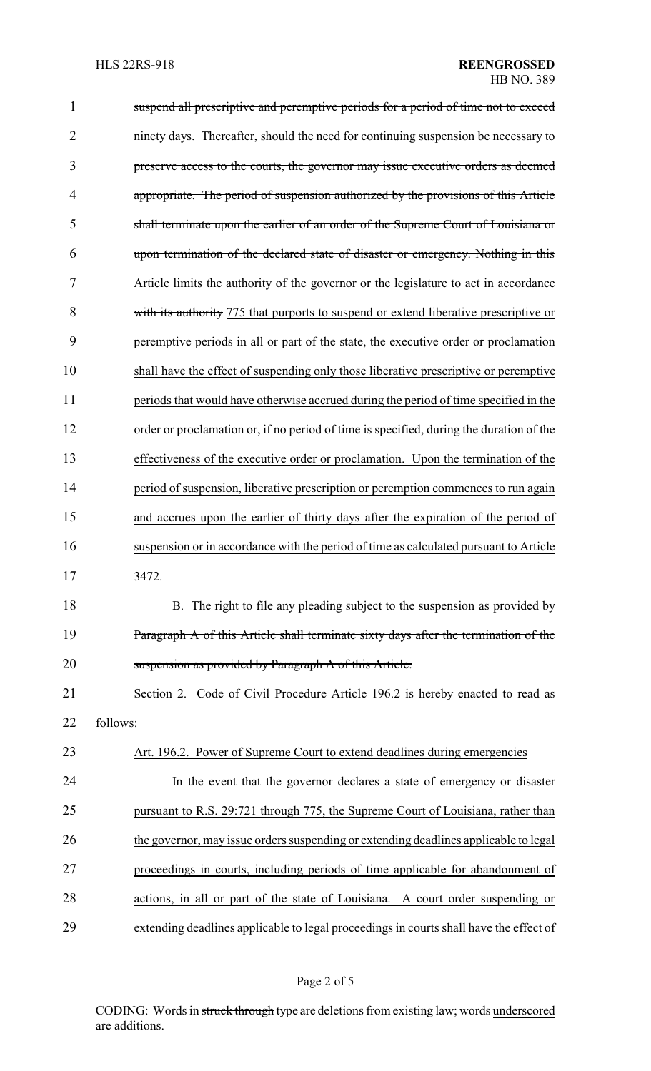| $\mathbf{1}$   | suspend all prescriptive and peremptive periods for a period of time not to exceed      |
|----------------|-----------------------------------------------------------------------------------------|
| $\overline{2}$ | ninety days. Thereafter, should the need for continuing suspension be necessary to      |
| 3              | preserve access to the courts, the governor may issue executive orders as deemed        |
| 4              | appropriate. The period of suspension authorized by the provisions of this Article      |
| 5              | shall terminate upon the earlier of an order of the Supreme Court of Louisiana or       |
| 6              | upon termination of the declared state of disaster or emergency. Nothing in this        |
| 7              | Article limits the authority of the governor or the legislature to act in accordance    |
| 8              | with its authority 775 that purports to suspend or extend liberative prescriptive or    |
| 9              | peremptive periods in all or part of the state, the executive order or proclamation     |
| 10             | shall have the effect of suspending only those liberative prescriptive or peremptive    |
| 11             | periods that would have otherwise accrued during the period of time specified in the    |
| 12             | order or proclamation or, if no period of time is specified, during the duration of the |
| 13             | effectiveness of the executive order or proclamation. Upon the termination of the       |
| 14             | period of suspension, liberative prescription or peremption commences to run again      |
| 15             | and accrues upon the earlier of thirty days after the expiration of the period of       |
| 16             | suspension or in accordance with the period of time as calculated pursuant to Article   |
| 17             | 3472.                                                                                   |
| 18             | B. The right to file any pleading subject to the suspension as provided by              |
| 19             | Paragraph A of this Article shall terminate sixty days after the termination of the     |
| 20             | suspension as provided by Paragraph A of this Article.                                  |
| 21             | Section 2. Code of Civil Procedure Article 196.2 is hereby enacted to read as           |
| 22             | follows:                                                                                |
| 23             | Art. 196.2. Power of Supreme Court to extend deadlines during emergencies               |
| 24             | In the event that the governor declares a state of emergency or disaster                |
| 25             | pursuant to R.S. 29:721 through 775, the Supreme Court of Louisiana, rather than        |
| 26             | the governor, may issue orders suspending or extending deadlines applicable to legal    |
| 27             | proceedings in courts, including periods of time applicable for abandonment of          |
| 28             | actions, in all or part of the state of Louisiana. A court order suspending or          |
| 29             | extending deadlines applicable to legal proceedings in courts shall have the effect of  |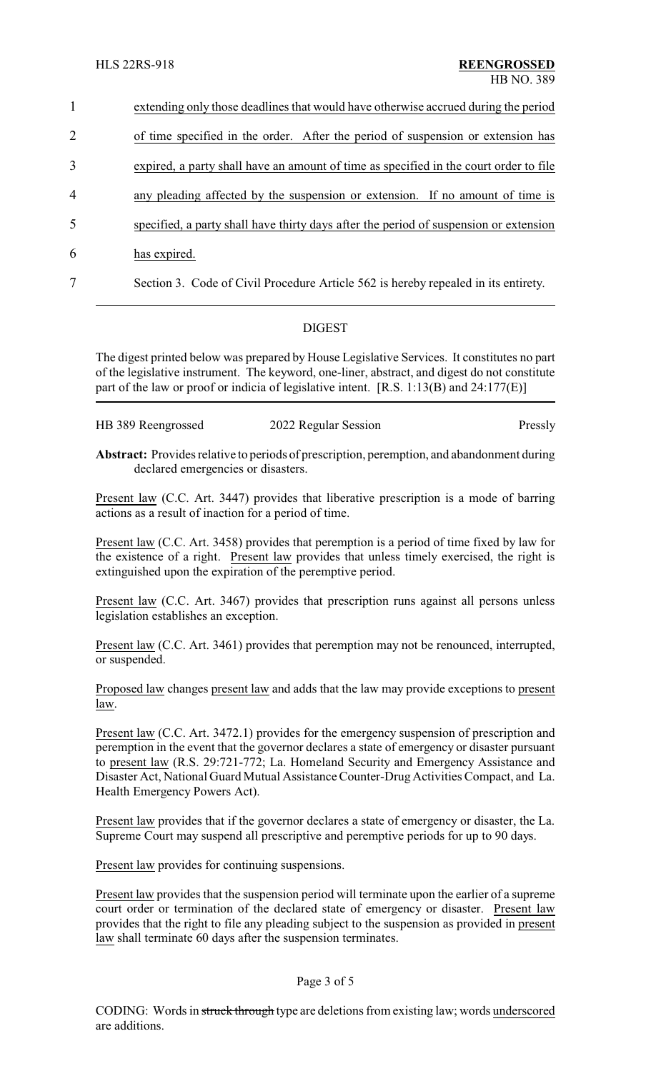| $\mathbf{1}$   | extending only those deadlines that would have otherwise accrued during the period    |
|----------------|---------------------------------------------------------------------------------------|
| 2              | of time specified in the order. After the period of suspension or extension has       |
| 3              | expired, a party shall have an amount of time as specified in the court order to file |
| $\overline{4}$ | any pleading affected by the suspension or extension. If no amount of time is         |
| 5              | specified, a party shall have thirty days after the period of suspension or extension |
| 6              | has expired.                                                                          |
| 7              | Section 3. Code of Civil Procedure Article 562 is hereby repealed in its entirety.    |

## DIGEST

The digest printed below was prepared by House Legislative Services. It constitutes no part of the legislative instrument. The keyword, one-liner, abstract, and digest do not constitute part of the law or proof or indicia of legislative intent. [R.S. 1:13(B) and 24:177(E)]

| HB 389 Reengrossed | 2022 Regular Session |         |
|--------------------|----------------------|---------|
|                    |                      | Pressly |
|                    |                      |         |

**Abstract:** Provides relative to periods of prescription, peremption, and abandonment during declared emergencies or disasters.

Present law (C.C. Art. 3447) provides that liberative prescription is a mode of barring actions as a result of inaction for a period of time.

Present law (C.C. Art. 3458) provides that peremption is a period of time fixed by law for the existence of a right. Present law provides that unless timely exercised, the right is extinguished upon the expiration of the peremptive period.

Present law (C.C. Art. 3467) provides that prescription runs against all persons unless legislation establishes an exception.

Present law (C.C. Art. 3461) provides that peremption may not be renounced, interrupted, or suspended.

Proposed law changes present law and adds that the law may provide exceptions to present law.

Present law (C.C. Art. 3472.1) provides for the emergency suspension of prescription and peremption in the event that the governor declares a state of emergency or disaster pursuant to present law (R.S. 29:721-772; La. Homeland Security and Emergency Assistance and Disaster Act, National Guard Mutual Assistance Counter-Drug Activities Compact, and La. Health Emergency Powers Act).

Present law provides that if the governor declares a state of emergency or disaster, the La. Supreme Court may suspend all prescriptive and peremptive periods for up to 90 days.

Present law provides for continuing suspensions.

Present law provides that the suspension period will terminate upon the earlier of a supreme court order or termination of the declared state of emergency or disaster. Present law provides that the right to file any pleading subject to the suspension as provided in present law shall terminate 60 days after the suspension terminates.

### Page 3 of 5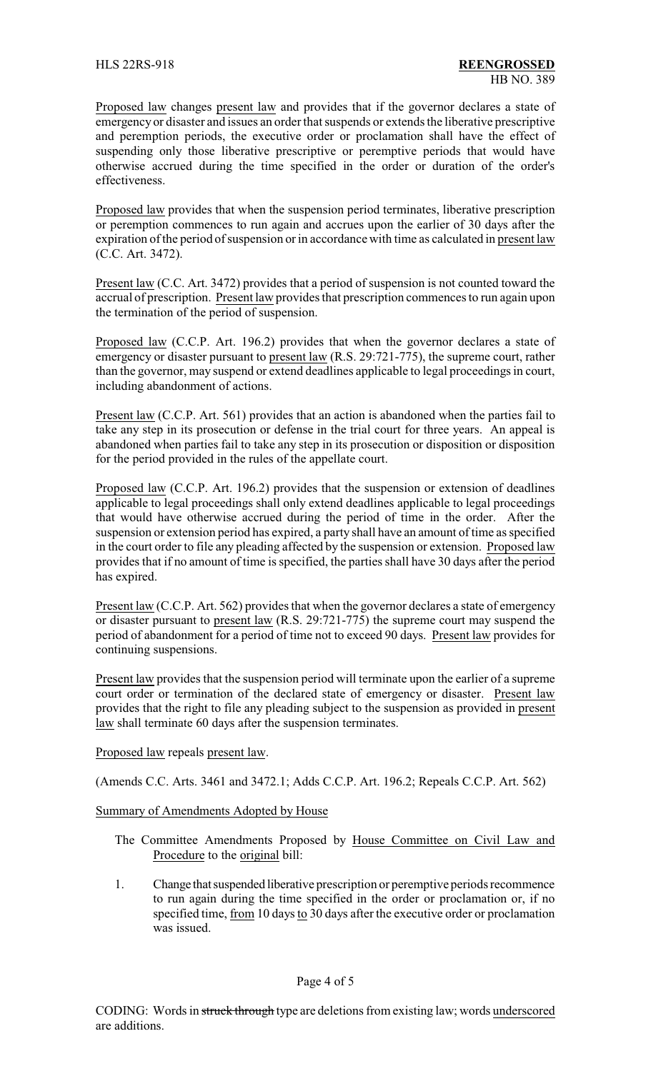Proposed law changes present law and provides that if the governor declares a state of emergency or disaster and issues an order that suspends or extends the liberative prescriptive and peremption periods, the executive order or proclamation shall have the effect of suspending only those liberative prescriptive or peremptive periods that would have otherwise accrued during the time specified in the order or duration of the order's effectiveness.

Proposed law provides that when the suspension period terminates, liberative prescription or peremption commences to run again and accrues upon the earlier of 30 days after the expiration of the period of suspension or in accordance with time as calculated in present law (C.C. Art. 3472).

Present law (C.C. Art. 3472) provides that a period of suspension is not counted toward the accrual of prescription. Present law provides that prescription commences to run again upon the termination of the period of suspension.

Proposed law (C.C.P. Art. 196.2) provides that when the governor declares a state of emergency or disaster pursuant to present law (R.S. 29:721-775), the supreme court, rather than the governor, may suspend or extend deadlines applicable to legal proceedings in court, including abandonment of actions.

Present law (C.C.P. Art. 561) provides that an action is abandoned when the parties fail to take any step in its prosecution or defense in the trial court for three years. An appeal is abandoned when parties fail to take any step in its prosecution or disposition or disposition for the period provided in the rules of the appellate court.

Proposed law (C.C.P. Art. 196.2) provides that the suspension or extension of deadlines applicable to legal proceedings shall only extend deadlines applicable to legal proceedings that would have otherwise accrued during the period of time in the order. After the suspension or extension period has expired, a party shall have an amount of time as specified in the court order to file any pleading affected by the suspension or extension. Proposed law provides that if no amount of time is specified, the parties shall have 30 days after the period has expired.

Present law (C.C.P. Art. 562) provides that when the governor declares a state of emergency or disaster pursuant to present law (R.S. 29:721-775) the supreme court may suspend the period of abandonment for a period of time not to exceed 90 days. Present law provides for continuing suspensions.

Present law provides that the suspension period will terminate upon the earlier of a supreme court order or termination of the declared state of emergency or disaster. Present law provides that the right to file any pleading subject to the suspension as provided in present law shall terminate 60 days after the suspension terminates.

Proposed law repeals present law.

(Amends C.C. Arts. 3461 and 3472.1; Adds C.C.P. Art. 196.2; Repeals C.C.P. Art. 562)

Summary of Amendments Adopted by House

The Committee Amendments Proposed by House Committee on Civil Law and Procedure to the original bill:

1. Change that suspended liberative prescription or peremptive periods recommence to run again during the time specified in the order or proclamation or, if no specified time, from 10 days to 30 days after the executive order or proclamation was issued.